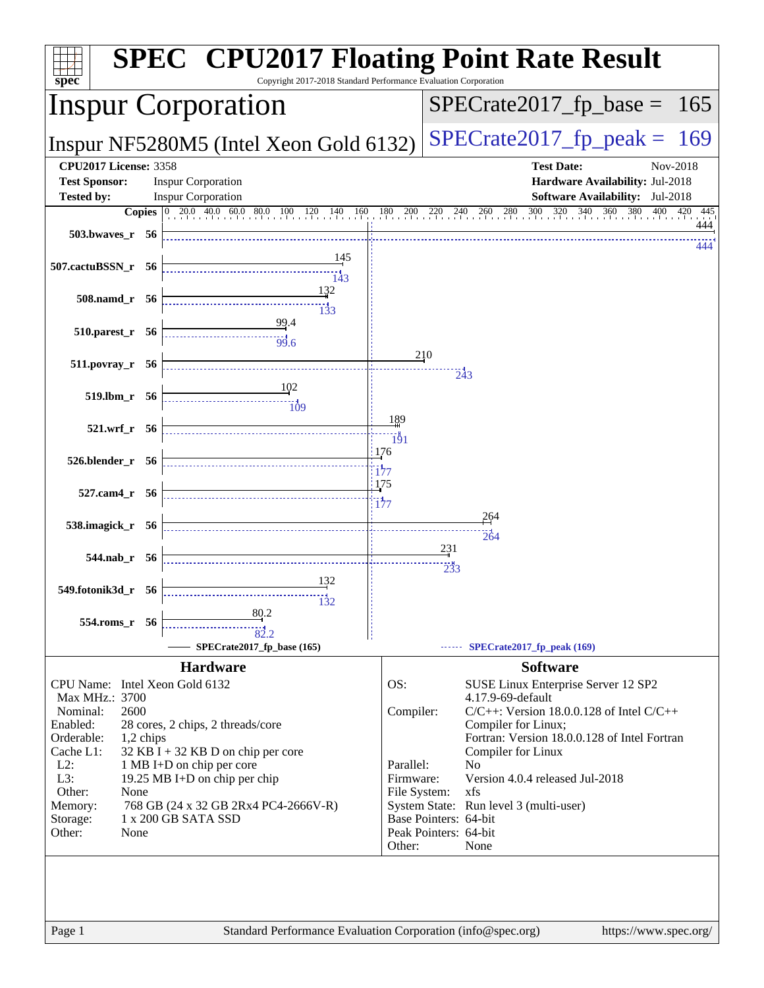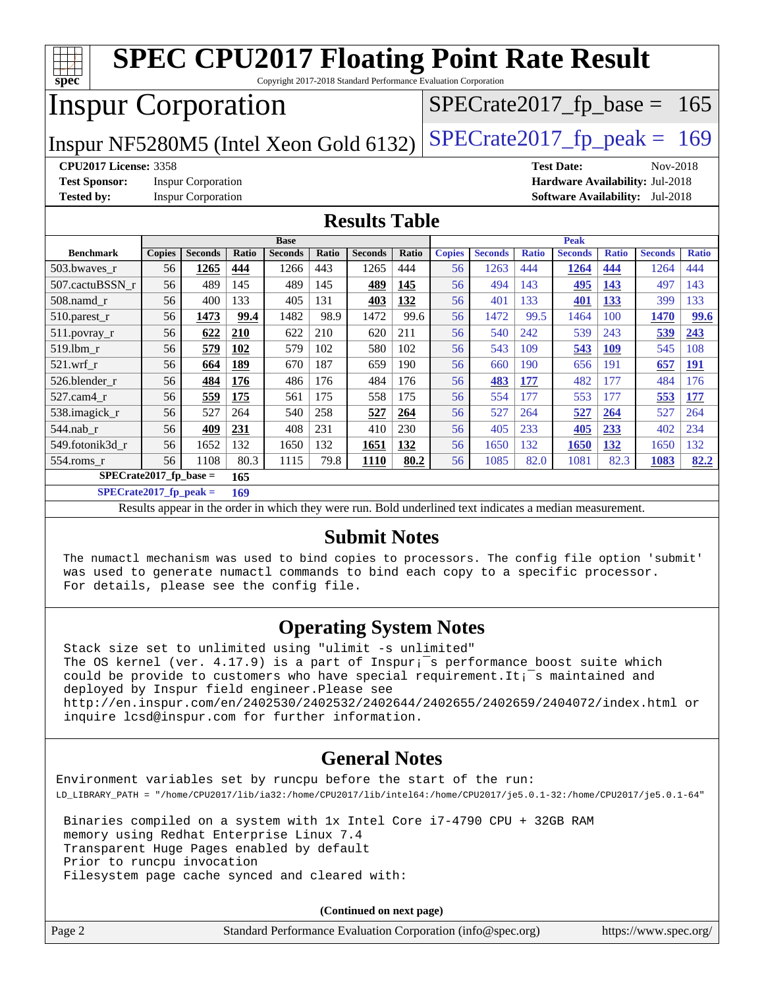| <b>SPEC CPU2017 Floating Point Rate Result</b><br>$spec^*$<br>Copyright 2017-2018 Standard Performance Evaluation Corporation |               |                           |       |                |              |                |       |               |                |              |                |              |                                        |              |
|-------------------------------------------------------------------------------------------------------------------------------|---------------|---------------------------|-------|----------------|--------------|----------------|-------|---------------|----------------|--------------|----------------|--------------|----------------------------------------|--------------|
| <b>Inspur Corporation</b><br>$SPECTate2017_fp\_base = 165$                                                                    |               |                           |       |                |              |                |       |               |                |              |                |              |                                        |              |
| $SPECrate2017_fp\_peak = 169$<br>Inspur NF5280M5 (Intel Xeon Gold 6132)                                                       |               |                           |       |                |              |                |       |               |                |              |                |              |                                        |              |
| <b>CPU2017 License: 3358</b><br>Nov-2018<br><b>Test Date:</b>                                                                 |               |                           |       |                |              |                |       |               |                |              |                |              |                                        |              |
| <b>Test Sponsor:</b><br>Hardware Availability: Jul-2018<br><b>Inspur Corporation</b>                                          |               |                           |       |                |              |                |       |               |                |              |                |              |                                        |              |
| <b>Tested by:</b>                                                                                                             |               | <b>Inspur Corporation</b> |       |                |              |                |       |               |                |              |                |              | <b>Software Availability:</b> Jul-2018 |              |
| <b>Results Table</b>                                                                                                          |               |                           |       |                |              |                |       |               |                |              |                |              |                                        |              |
|                                                                                                                               |               |                           |       | <b>Base</b>    |              |                |       |               |                |              | <b>Peak</b>    |              |                                        |              |
| <b>Benchmark</b>                                                                                                              | <b>Copies</b> | <b>Seconds</b>            | Ratio | <b>Seconds</b> | <b>Ratio</b> | <b>Seconds</b> | Ratio | <b>Copies</b> | <b>Seconds</b> | <b>Ratio</b> | <b>Seconds</b> | <b>Ratio</b> | <b>Seconds</b>                         | <b>Ratio</b> |
| 503.bwaves r                                                                                                                  | 56            | 1265                      | 444   | 1266           | 443          | 1265           | 444   | 56            | 1263           | 444          | 1264           | 444          | 1264                                   | 444          |
| 507.cactuBSSN r                                                                                                               | 56            | 489                       | 145   | 489            | 145          | 489            | 145   | 56            | 494            | 143          | 495            | 143          | 497                                    | 143          |
| 508.namd_r                                                                                                                    | 56            | 400                       | 133   | 405            | 131          | 403            | 132   | 56            | 401            | 133          | 401            | 133          | 399                                    | 133          |
| 510.parest_r                                                                                                                  | 56            | 1473                      | 99.4  | 1482           | 98.9         | 1472           | 99.6  | 56            | 1472           | 99.5         | 1464           | 100          | 1470                                   | 99.6         |
| 511.povray_r                                                                                                                  | 56            | 622                       | 210   | 622            | 210          | 620            | 211   | 56            | 540            | 242          | 539            | 243          | 539                                    | 243          |
| 519.1bm r                                                                                                                     | 56            | 579                       | 102   | 579            | 102          | 580            | 102   | 56            | 543            | 109          | 543            | <b>109</b>   | 545                                    | 108          |
| $521$ .wrf r                                                                                                                  | 56            | 664                       | 189   | 670            | 187          | 659            | 190   | 56            | 660            | 190          | 656            | 191          | 657                                    | 191          |
| 526.blender r                                                                                                                 | 56            | 484                       | 176   | 486            | 176          | 484            | 176   | 56            | 483            | 177          | 482            | 177          | 484                                    | 176          |
| 527.cam4 r                                                                                                                    | 56            | 559                       | 175   | 561            | 175          | 558            | 175   | 56            | 554            | 177          | 553            | 177          | 553                                    | 177          |
| 538.imagick_r                                                                                                                 | 56            | 527                       | 264   | 540            | 258          | 527            | 264   | 56            | 527            | 264          | 527            | 264          | 527                                    | 264          |
| 544.nab r                                                                                                                     | 56            | 409                       | 231   | 408            | 231          | 410            | 230   | 56            | 405            | 233          | 405            | 233          | 402                                    | 234          |
| 549.fotonik3d r                                                                                                               | 56            | 1652                      | 132   | 1650           | 132          | 1651           | 132   | 56            | 1650           | 132          | 1650           | 132          | 1650                                   | 132          |
| 554.roms_r                                                                                                                    | 56            | 1108                      | 80.3  | 1115           | 79.8         | 1110           | 80.2  | 56            | 1085           | 82.0         | 1081           | 82.3         | 1083                                   | 82.2         |
| $SPECrate2017_fp\_base =$<br>165                                                                                              |               |                           |       |                |              |                |       |               |                |              |                |              |                                        |              |
| $SPECrate2017_fp_peak =$                                                                                                      |               |                           | 169   |                |              |                |       |               |                |              |                |              |                                        |              |

Results appear in the [order in which they were run.](http://www.spec.org/auto/cpu2017/Docs/result-fields.html#RunOrder) Bold underlined text [indicates a median measurement.](http://www.spec.org/auto/cpu2017/Docs/result-fields.html#Median)

#### **[Submit Notes](http://www.spec.org/auto/cpu2017/Docs/result-fields.html#SubmitNotes)**

 The numactl mechanism was used to bind copies to processors. The config file option 'submit' was used to generate numactl commands to bind each copy to a specific processor. For details, please see the config file.

### **[Operating System Notes](http://www.spec.org/auto/cpu2017/Docs/result-fields.html#OperatingSystemNotes)**

 Stack size set to unlimited using "ulimit -s unlimited" The OS kernel (ver.  $4.17.9$ ) is a part of Inspur;<sup> $-$ </sup>s performance boost suite which could be provide to customers who have special requirement. It; $\bar{z}$  maintained and deployed by Inspur field engineer.Please see <http://en.inspur.com/en/2402530/2402532/2402644/2402655/2402659/2404072/index.html> or inquire lcsd@inspur.com for further information.

### **[General Notes](http://www.spec.org/auto/cpu2017/Docs/result-fields.html#GeneralNotes)**

Environment variables set by runcpu before the start of the run: LD\_LIBRARY\_PATH = "/home/CPU2017/lib/ia32:/home/CPU2017/lib/intel64:/home/CPU2017/je5.0.1-32:/home/CPU2017/je5.0.1-64"

 Binaries compiled on a system with 1x Intel Core i7-4790 CPU + 32GB RAM memory using Redhat Enterprise Linux 7.4 Transparent Huge Pages enabled by default Prior to runcpu invocation Filesystem page cache synced and cleared with:

 $(C_{\text{optimal on}})$ 

|        | (Continued on hext page)                                    |                       |
|--------|-------------------------------------------------------------|-----------------------|
| Page 2 | Standard Performance Evaluation Corporation (info@spec.org) | https://www.spec.org/ |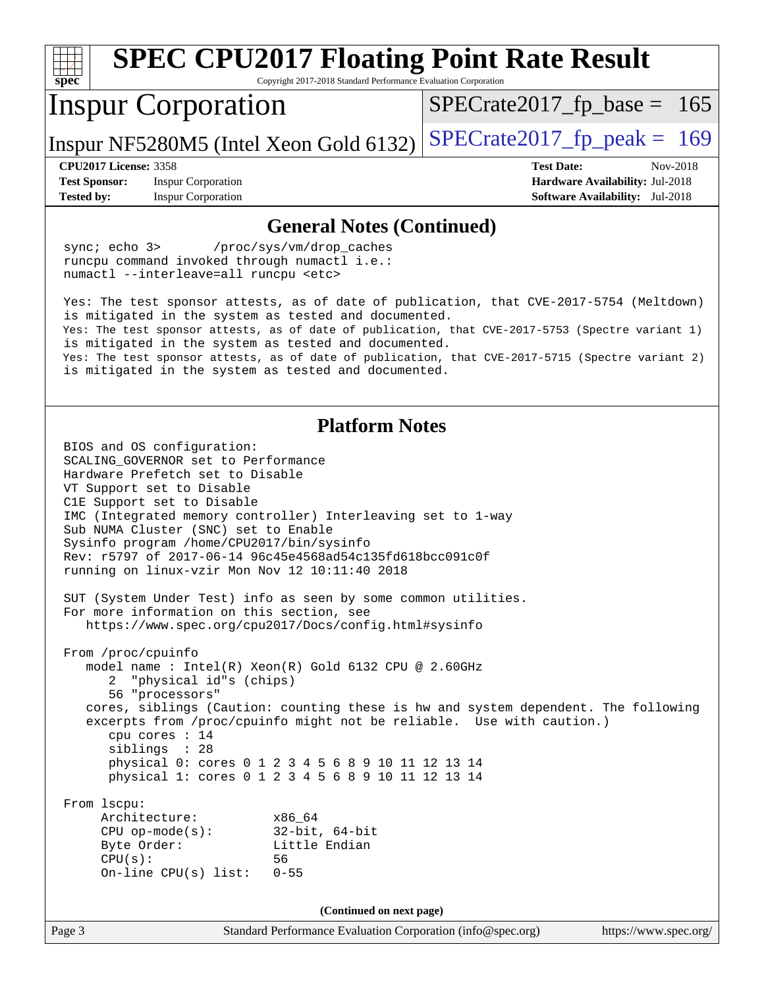| <b>SPEC CPU2017 Floating Point Rate Result</b><br>$spec^*$<br>Copyright 2017-2018 Standard Performance Evaluation Corporation                                                                                                                                                                                                                                                                                                                                                                                                                                                                                                                               |                                 |  |  |  |
|-------------------------------------------------------------------------------------------------------------------------------------------------------------------------------------------------------------------------------------------------------------------------------------------------------------------------------------------------------------------------------------------------------------------------------------------------------------------------------------------------------------------------------------------------------------------------------------------------------------------------------------------------------------|---------------------------------|--|--|--|
| <b>Inspur Corporation</b>                                                                                                                                                                                                                                                                                                                                                                                                                                                                                                                                                                                                                                   | $SPECrate2017_fp\_base = 165$   |  |  |  |
| Inspur NF5280M5 (Intel Xeon Gold 6132)                                                                                                                                                                                                                                                                                                                                                                                                                                                                                                                                                                                                                      | $SPECrate2017fp peak = 169$     |  |  |  |
| <b>CPU2017 License: 3358</b>                                                                                                                                                                                                                                                                                                                                                                                                                                                                                                                                                                                                                                | <b>Test Date:</b><br>Nov-2018   |  |  |  |
| <b>Inspur Corporation</b><br><b>Test Sponsor:</b>                                                                                                                                                                                                                                                                                                                                                                                                                                                                                                                                                                                                           | Hardware Availability: Jul-2018 |  |  |  |
| <b>Tested by:</b><br><b>Inspur Corporation</b>                                                                                                                                                                                                                                                                                                                                                                                                                                                                                                                                                                                                              | Software Availability: Jul-2018 |  |  |  |
| <b>General Notes (Continued)</b>                                                                                                                                                                                                                                                                                                                                                                                                                                                                                                                                                                                                                            |                                 |  |  |  |
| sync; echo 3><br>/proc/sys/vm/drop_caches<br>runcpu command invoked through numactl i.e.:<br>numactl --interleave=all runcpu <etc></etc>                                                                                                                                                                                                                                                                                                                                                                                                                                                                                                                    |                                 |  |  |  |
| Yes: The test sponsor attests, as of date of publication, that CVE-2017-5754 (Meltdown)<br>is mitigated in the system as tested and documented.<br>Yes: The test sponsor attests, as of date of publication, that CVE-2017-5753 (Spectre variant 1)<br>is mitigated in the system as tested and documented.<br>Yes: The test sponsor attests, as of date of publication, that CVE-2017-5715 (Spectre variant 2)                                                                                                                                                                                                                                             |                                 |  |  |  |
| is mitigated in the system as tested and documented.                                                                                                                                                                                                                                                                                                                                                                                                                                                                                                                                                                                                        |                                 |  |  |  |
| <b>Platform Notes</b><br>BIOS and OS configuration:<br>SCALING GOVERNOR set to Performance<br>Hardware Prefetch set to Disable<br>VT Support set to Disable<br>ClE Support set to Disable<br>IMC (Integrated memory controller) Interleaving set to 1-way<br>Sub NUMA Cluster (SNC) set to Enable<br>Sysinfo program /home/CPU2017/bin/sysinfo<br>Rev: r5797 of 2017-06-14 96c45e4568ad54c135fd618bcc091c0f<br>running on linux-vzir Mon Nov 12 10:11:40 2018<br>SUT (System Under Test) info as seen by some common utilities.<br>For more information on this section, see<br>https://www.spec.org/cpu2017/Docs/config.html#sysinfo<br>From /proc/cpuinfo |                                 |  |  |  |
| model name : Intel(R) Xeon(R) Gold 6132 CPU @ 2.60GHz<br>"physical id"s (chips)<br>56 "processors"<br>cores, siblings (Caution: counting these is hw and system dependent. The following<br>excerpts from /proc/cpuinfo might not be reliable. Use with caution.)<br>cpu cores : 14<br>siblings : 28<br>physical 0: cores 0 1 2 3 4 5 6 8 9 10 11 12 13 14<br>physical 1: cores 0 1 2 3 4 5 6 8 9 10 11 12 13 14                                                                                                                                                                                                                                            |                                 |  |  |  |
| From 1scpu:<br>Architecture:<br>x86 64<br>$CPU$ op-mode(s):<br>$32$ -bit, $64$ -bit<br>Little Endian<br>Byte Order:<br>CPU(s):<br>56<br>On-line $CPU(s)$ list:<br>$0 - 55$                                                                                                                                                                                                                                                                                                                                                                                                                                                                                  |                                 |  |  |  |
| (Continued on next page)                                                                                                                                                                                                                                                                                                                                                                                                                                                                                                                                                                                                                                    |                                 |  |  |  |
| Standard Performance Evaluation Corporation (info@spec.org)<br>Page 3                                                                                                                                                                                                                                                                                                                                                                                                                                                                                                                                                                                       | https://www.spec.org/           |  |  |  |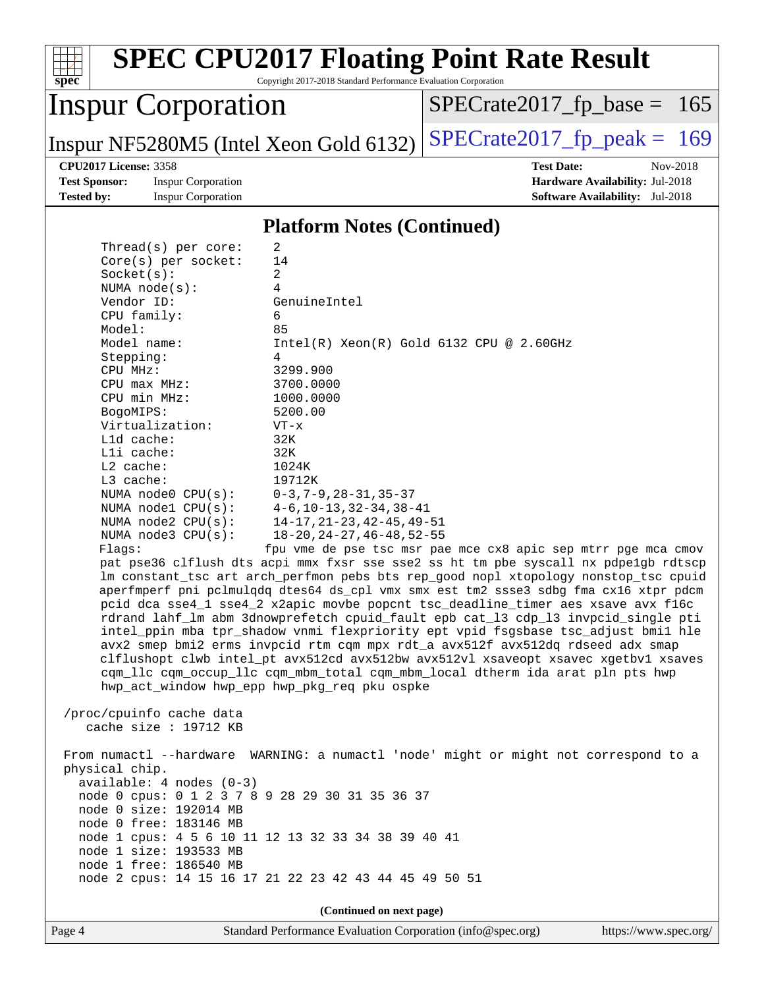| <b>SPEC CPU2017 Floating Point Rate Result</b><br>Copyright 2017-2018 Standard Performance Evaluation Corporation<br>spec                                                                                                                                                                                                                                                                                                                                                                                                                                                                                                                                                                                                                                                                                                                                                                                                                                                                                                                                                                                                                                                                                                                                                                                                                                                                                                                                                                                                                                                                                                |                                                                                                             |
|--------------------------------------------------------------------------------------------------------------------------------------------------------------------------------------------------------------------------------------------------------------------------------------------------------------------------------------------------------------------------------------------------------------------------------------------------------------------------------------------------------------------------------------------------------------------------------------------------------------------------------------------------------------------------------------------------------------------------------------------------------------------------------------------------------------------------------------------------------------------------------------------------------------------------------------------------------------------------------------------------------------------------------------------------------------------------------------------------------------------------------------------------------------------------------------------------------------------------------------------------------------------------------------------------------------------------------------------------------------------------------------------------------------------------------------------------------------------------------------------------------------------------------------------------------------------------------------------------------------------------|-------------------------------------------------------------------------------------------------------------|
| <b>Inspur Corporation</b>                                                                                                                                                                                                                                                                                                                                                                                                                                                                                                                                                                                                                                                                                                                                                                                                                                                                                                                                                                                                                                                                                                                                                                                                                                                                                                                                                                                                                                                                                                                                                                                                | $SPECrate2017_fp\_base =$<br>165                                                                            |
| Inspur NF5280M5 (Intel Xeon Gold 6132)                                                                                                                                                                                                                                                                                                                                                                                                                                                                                                                                                                                                                                                                                                                                                                                                                                                                                                                                                                                                                                                                                                                                                                                                                                                                                                                                                                                                                                                                                                                                                                                   | $SPECrate2017_fp\_peak = 169$                                                                               |
| <b>CPU2017 License: 3358</b><br><b>Test Sponsor:</b><br><b>Inspur Corporation</b><br><b>Tested by:</b><br><b>Inspur Corporation</b>                                                                                                                                                                                                                                                                                                                                                                                                                                                                                                                                                                                                                                                                                                                                                                                                                                                                                                                                                                                                                                                                                                                                                                                                                                                                                                                                                                                                                                                                                      | <b>Test Date:</b><br>Nov-2018<br>Hardware Availability: Jul-2018<br><b>Software Availability:</b> Jul-2018  |
| <b>Platform Notes (Continued)</b>                                                                                                                                                                                                                                                                                                                                                                                                                                                                                                                                                                                                                                                                                                                                                                                                                                                                                                                                                                                                                                                                                                                                                                                                                                                                                                                                                                                                                                                                                                                                                                                        |                                                                                                             |
| Thread( $s$ ) per core:<br>2<br>14<br>$Core(s)$ per socket:<br>2<br>Socket(s):<br>4<br>NUMA $node(s):$<br>Vendor ID:<br>GenuineIntel<br>CPU family:<br>6<br>Model:<br>85<br>Model name:<br>Stepping:<br>4<br>CPU MHz:<br>3299.900<br>3700.0000<br>$CPU$ max $MHz$ :<br>CPU min MHz:<br>1000.0000<br>5200.00<br>BogoMIPS:<br>Virtualization:<br>$VT - x$<br>L1d cache:<br>32K<br>Lli cache:<br>32K<br>L2 cache:<br>1024K<br>L3 cache:<br>19712K<br>NUMA node0 CPU(s):<br>$0-3, 7-9, 28-31, 35-37$<br>$4-6$ , $10-13$ , $32-34$ , $38-41$<br>NUMA $node1$ CPU $(s)$ :<br>$14 - 17, 21 - 23, 42 - 45, 49 - 51$<br>NUMA $node2$ $CPU(s):$<br>NUMA node3 CPU(s):<br>$18 - 20$ , $24 - 27$ , $46 - 48$ , $52 - 55$<br>Flags:<br>pat pse36 clflush dts acpi mmx fxsr sse sse2 ss ht tm pbe syscall nx pdpelgb rdtscp<br>lm constant_tsc art arch_perfmon pebs bts rep_good nopl xtopology nonstop_tsc cpuid<br>aperfmperf pni pclmulqdq dtes64 ds_cpl vmx smx est tm2 ssse3 sdbg fma cx16 xtpr pdcm<br>pcid dca sse4_1 sse4_2 x2apic movbe popcnt tsc_deadline_timer aes xsave avx f16c<br>rdrand lahf_lm abm 3dnowprefetch cpuid_fault epb cat_13 cdp_13 invpcid_single pti<br>intel_ppin mba tpr_shadow vnmi flexpriority ept vpid fsgsbase tsc_adjust bmil hle<br>avx2 smep bmi2 erms invpcid rtm cqm mpx rdt_a avx512f avx512dq rdseed adx smap<br>clflushopt clwb intel_pt avx512cd avx512bw avx512vl xsaveopt xsavec xgetbvl xsaves<br>cqm_llc cqm_occup_llc cqm_mbm_total cqm_mbm_local dtherm ida arat pln pts hwp<br>hwp_act_window hwp_epp hwp_pkg_req pku ospke<br>/proc/cpuinfo cache data<br>cache size : 19712 KB | $Intel(R) Xeon(R) Gold 6132 CPU @ 2.60GHz$<br>fpu vme de pse tsc msr pae mce cx8 apic sep mtrr pge mca cmov |
| From numactl --hardware WARNING: a numactl 'node' might or might not correspond to a<br>physical chip.<br>$available: 4 nodes (0-3)$<br>node 0 cpus: 0 1 2 3 7 8 9 28 29 30 31 35 36 37<br>node 0 size: 192014 MB<br>node 0 free: 183146 MB                                                                                                                                                                                                                                                                                                                                                                                                                                                                                                                                                                                                                                                                                                                                                                                                                                                                                                                                                                                                                                                                                                                                                                                                                                                                                                                                                                              |                                                                                                             |
| node 1 cpus: 4 5 6 10 11 12 13 32 33 34 38 39 40 41<br>node 1 size: 193533 MB<br>node 1 free: 186540 MB<br>node 2 cpus: 14 15 16 17 21 22 23 42 43 44 45 49 50 51                                                                                                                                                                                                                                                                                                                                                                                                                                                                                                                                                                                                                                                                                                                                                                                                                                                                                                                                                                                                                                                                                                                                                                                                                                                                                                                                                                                                                                                        |                                                                                                             |

**(Continued on next page)**

Page 4 Standard Performance Evaluation Corporation [\(info@spec.org\)](mailto:info@spec.org) <https://www.spec.org/>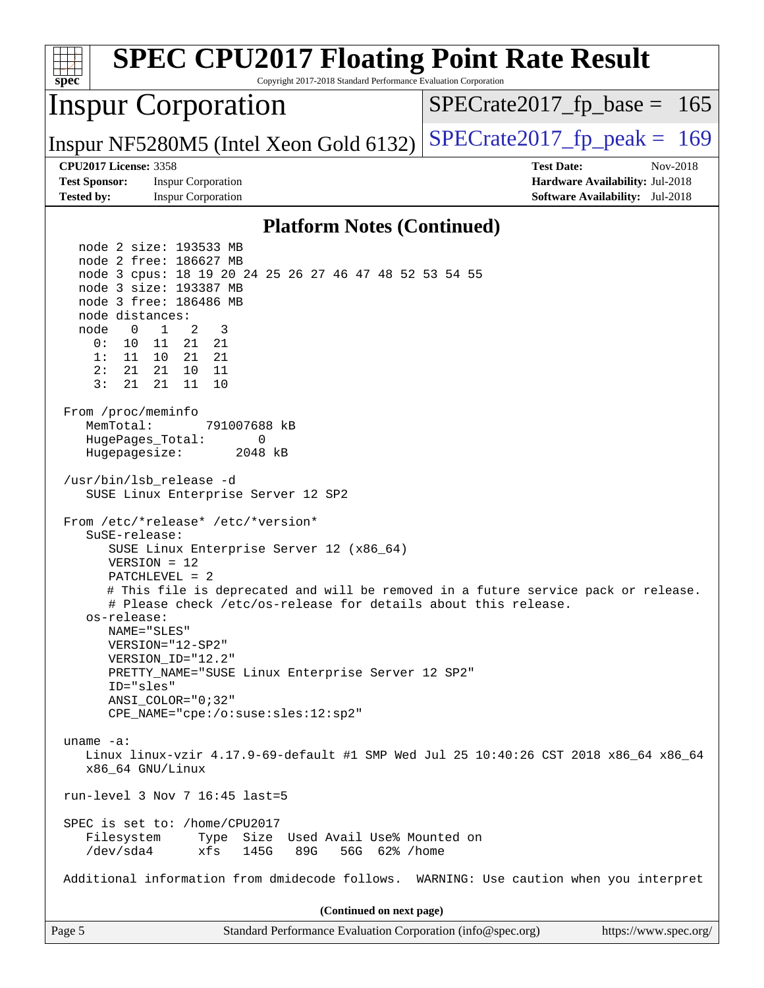| <b>SPEC CPU2017 Floating Point Rate Result</b><br>Copyright 2017-2018 Standard Performance Evaluation Corporation<br>$spec^*$                                                                                                                                                                                                                                                                                                                                                                     |                                                                                                     |
|---------------------------------------------------------------------------------------------------------------------------------------------------------------------------------------------------------------------------------------------------------------------------------------------------------------------------------------------------------------------------------------------------------------------------------------------------------------------------------------------------|-----------------------------------------------------------------------------------------------------|
| <b>Inspur Corporation</b>                                                                                                                                                                                                                                                                                                                                                                                                                                                                         | $SPECrate2017_fp\_base = 165$                                                                       |
| Inspur NF5280M5 (Intel Xeon Gold 6132)                                                                                                                                                                                                                                                                                                                                                                                                                                                            | $SPECTate2017$ _fp_peak = 169                                                                       |
| <b>CPU2017 License: 3358</b><br><b>Test Sponsor:</b><br><b>Inspur Corporation</b><br><b>Tested by:</b><br><b>Inspur Corporation</b>                                                                                                                                                                                                                                                                                                                                                               | <b>Test Date:</b><br>Nov-2018<br>Hardware Availability: Jul-2018<br>Software Availability: Jul-2018 |
| <b>Platform Notes (Continued)</b>                                                                                                                                                                                                                                                                                                                                                                                                                                                                 |                                                                                                     |
| node 2 size: 193533 MB<br>node 2 free: 186627 MB<br>node 3 cpus: 18 19 20 24 25 26 27 46 47 48 52 53 54 55<br>node 3 size: 193387 MB<br>node 3 free: 186486 MB<br>node distances:<br>$\overline{1}$<br>node<br>$\overline{0}$<br>2<br>3<br>11<br>21 21<br>0 :<br>10<br>1:<br>11<br>10 21 21<br>2:<br>21<br>21<br>10<br>- 11<br>3:<br>21<br>21<br>11<br>10<br>From /proc/meminfo                                                                                                                   |                                                                                                     |
| MemTotal:<br>791007688 kB<br>HugePages_Total:<br>0<br>Hugepagesize:<br>2048 kB<br>/usr/bin/lsb_release -d<br>SUSE Linux Enterprise Server 12 SP2                                                                                                                                                                                                                                                                                                                                                  |                                                                                                     |
| From /etc/*release* /etc/*version*<br>SuSE-release:<br>SUSE Linux Enterprise Server 12 (x86_64)<br>$VERSION = 12$<br>$PATCHLEVEL = 2$<br># This file is deprecated and will be removed in a future service pack or release.<br># Please check /etc/os-release for details about this release.<br>os-release:<br>NAME="SLES"<br>VERSION="12-SP2"<br>VERSION_ID="12.2"<br>PRETTY_NAME="SUSE Linux Enterprise Server 12 SP2"<br>ID="sles"<br>ANSI COLOR="0;32"<br>CPE_NAME="cpe:/o:suse:sles:12:sp2" |                                                                                                     |
| uname $-a$ :<br>Linux linux-vzir 4.17.9-69-default #1 SMP Wed Jul 25 10:40:26 CST 2018 x86_64 x86_64<br>x86_64 GNU/Linux<br>run-level 3 Nov 7 $16:45$ last=5                                                                                                                                                                                                                                                                                                                                      |                                                                                                     |
| SPEC is set to: /home/CPU2017<br>Type Size Used Avail Use% Mounted on<br>Filesystem<br>/dev/sda4<br>145G<br>89G<br>56G 62% / home<br>xfs                                                                                                                                                                                                                                                                                                                                                          |                                                                                                     |
| Additional information from dmidecode follows. WARNING: Use caution when you interpret                                                                                                                                                                                                                                                                                                                                                                                                            |                                                                                                     |
| (Continued on next page)                                                                                                                                                                                                                                                                                                                                                                                                                                                                          |                                                                                                     |
| Page 5<br>Standard Performance Evaluation Corporation (info@spec.org)                                                                                                                                                                                                                                                                                                                                                                                                                             | https://www.spec.org/                                                                               |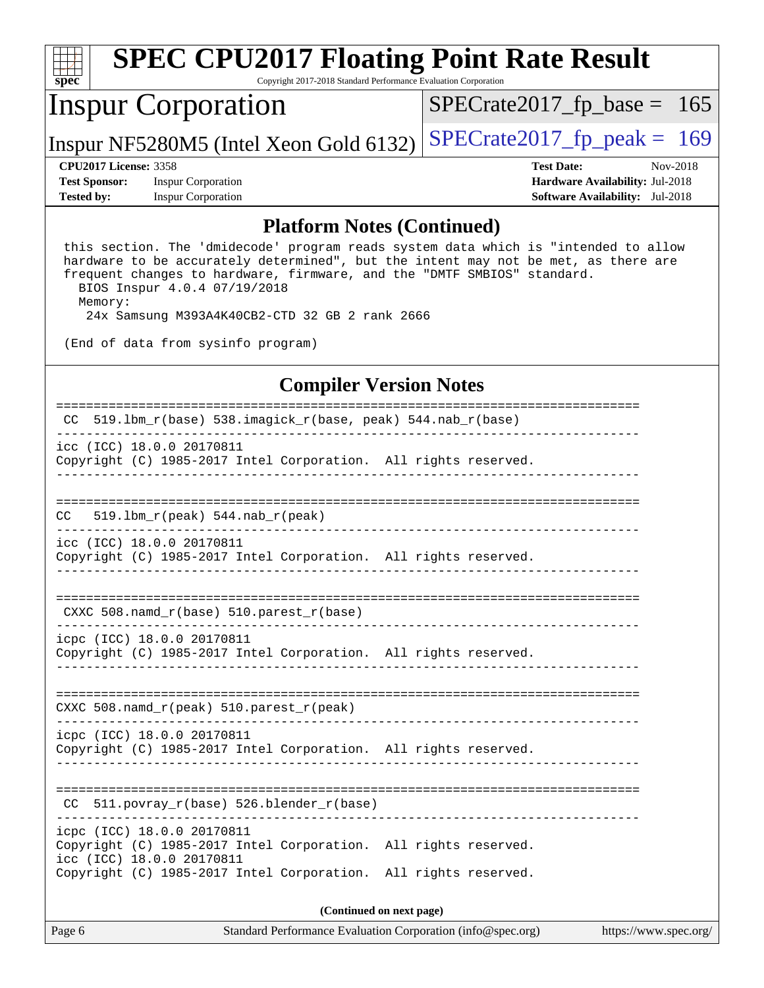| $spec^*$                                          | <b>SPEC CPU2017 Floating Point Rate Result</b><br>Copyright 2017-2018 Standard Performance Evaluation Corporation |                                        |
|---------------------------------------------------|-------------------------------------------------------------------------------------------------------------------|----------------------------------------|
|                                                   | <b>Inspur Corporation</b>                                                                                         | $SPECrate2017_fp\_base = 165$          |
|                                                   | Inspur NF5280M5 (Intel Xeon Gold 6132)                                                                            | $SPECrate2017_fp\_peak = 169$          |
| <b>CPU2017 License: 3358</b>                      |                                                                                                                   | <b>Test Date:</b><br>Nov-2018          |
| <b>Test Sponsor:</b><br><b>Inspur Corporation</b> |                                                                                                                   | Hardware Availability: Jul-2018        |
| <b>Tested by:</b>                                 | <b>Inspur Corporation</b>                                                                                         | <b>Software Availability:</b> Jul-2018 |
|                                                   |                                                                                                                   |                                        |

#### **[Platform Notes \(Continued\)](http://www.spec.org/auto/cpu2017/Docs/result-fields.html#PlatformNotes)**

 this section. The 'dmidecode' program reads system data which is "intended to allow hardware to be accurately determined", but the intent may not be met, as there are frequent changes to hardware, firmware, and the "DMTF SMBIOS" standard. BIOS Inspur 4.0.4 07/19/2018

 Memory: 24x Samsung M393A4K40CB2-CTD 32 GB 2 rank 2666

(End of data from sysinfo program)

### **[Compiler Version Notes](http://www.spec.org/auto/cpu2017/Docs/result-fields.html#CompilerVersionNotes)**

| $519.1$ bm_r(base) 538.imagick_r(base, peak) 544.nab_r(base)<br>CC.                                                        |  |  |  |  |
|----------------------------------------------------------------------------------------------------------------------------|--|--|--|--|
| icc (ICC) 18.0.0 20170811<br>Copyright (C) 1985-2017 Intel Corporation. All rights reserved.                               |  |  |  |  |
|                                                                                                                            |  |  |  |  |
| 519.1bm $r(\text{peak})$ 544.nab $r(\text{peak})$<br>CC.                                                                   |  |  |  |  |
| icc (ICC) 18.0.0 20170811<br>Copyright (C) 1985-2017 Intel Corporation. All rights reserved.                               |  |  |  |  |
|                                                                                                                            |  |  |  |  |
| CXXC 508.namd_r(base) 510.parest_r(base)                                                                                   |  |  |  |  |
| icpc (ICC) 18.0.0 20170811<br>Copyright (C) 1985-2017 Intel Corporation. All rights reserved.                              |  |  |  |  |
|                                                                                                                            |  |  |  |  |
| CXXC 508.namd_r(peak) 510.parest_r(peak)                                                                                   |  |  |  |  |
| icpc (ICC) 18.0.0 20170811<br>Copyright (C) 1985-2017 Intel Corporation. All rights reserved.                              |  |  |  |  |
| --------------------------<br>CC 511. povray $r(base)$ 526. blender $r(base)$                                              |  |  |  |  |
| icpc (ICC) 18.0.0 20170811<br>Copyright (C) 1985-2017 Intel Corporation. All rights reserved.<br>icc (ICC) 18.0.0 20170811 |  |  |  |  |
| Copyright (C) 1985-2017 Intel Corporation. All rights reserved.                                                            |  |  |  |  |
| (Continued on next page)                                                                                                   |  |  |  |  |

Page 6 Standard Performance Evaluation Corporation [\(info@spec.org\)](mailto:info@spec.org) <https://www.spec.org/>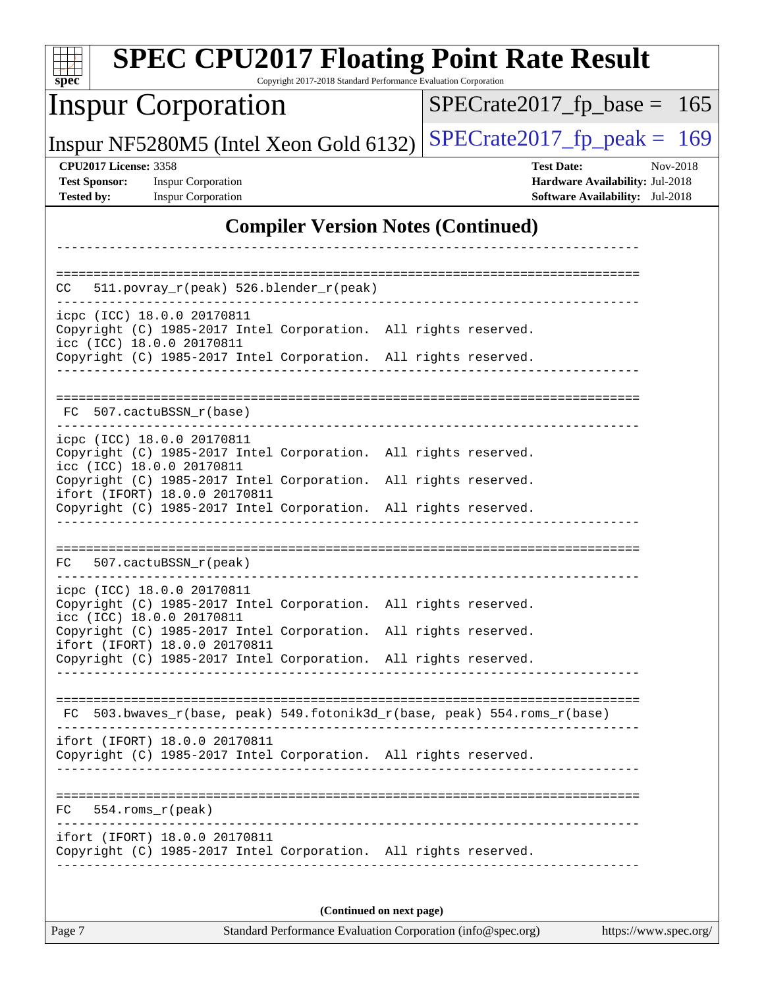| spec                                                                                                                                           | <b>SPEC CPU2017 Floating Point Rate Result</b><br>Copyright 2017-2018 Standard Performance Evaluation Corporation |
|------------------------------------------------------------------------------------------------------------------------------------------------|-------------------------------------------------------------------------------------------------------------------|
| <b>Inspur Corporation</b>                                                                                                                      | $SPECrate2017_fp\_base = 165$                                                                                     |
| Inspur NF5280M5 (Intel Xeon Gold 6132)                                                                                                         | $SPECrate2017_fp\_peak = 169$                                                                                     |
| <b>CPU2017 License: 3358</b><br><b>Test Sponsor:</b><br><b>Inspur Corporation</b><br><b>Tested by:</b><br><b>Inspur Corporation</b>            | <b>Test Date:</b><br>Nov-2018<br>Hardware Availability: Jul-2018<br><b>Software Availability:</b> Jul-2018        |
|                                                                                                                                                | <b>Compiler Version Notes (Continued)</b>                                                                         |
| 511.povray_r(peak) 526.blender_r(peak)<br>CC.                                                                                                  |                                                                                                                   |
| icpc (ICC) 18.0.0 20170811<br>Copyright (C) 1985-2017 Intel Corporation. All rights reserved.<br>icc (ICC) 18.0.0 20170811                     |                                                                                                                   |
| Copyright (C) 1985-2017 Intel Corporation. All rights reserved.                                                                                |                                                                                                                   |
| 507.cactuBSSN r(base)<br>FC.                                                                                                                   |                                                                                                                   |
| icpc (ICC) 18.0.0 20170811<br>Copyright (C) 1985-2017 Intel Corporation. All rights reserved.<br>icc (ICC) 18.0.0 20170811                     |                                                                                                                   |
| Copyright (C) 1985-2017 Intel Corporation.<br>ifort (IFORT) 18.0.0 20170811<br>Copyright (C) 1985-2017 Intel Corporation. All rights reserved. | All rights reserved.                                                                                              |
|                                                                                                                                                |                                                                                                                   |
| 507.cactuBSSN_r(peak)<br>FC.                                                                                                                   |                                                                                                                   |
| icpc (ICC) 18.0.0 20170811<br>Copyright (C) 1985-2017 Intel Corporation. All rights reserved.<br>icc (ICC) 18.0.0 20170811                     |                                                                                                                   |
| Copyright (C) 1985-2017 Intel Corporation. All rights reserved.<br>ifort (IFORT) 18.0.0 20170811                                               |                                                                                                                   |
| Copyright (C) 1985-2017 Intel Corporation. All rights reserved.                                                                                |                                                                                                                   |
| FC 503.bwaves_r(base, peak) 549.fotonik3d_r(base, peak) 554.roms_r(base)                                                                       |                                                                                                                   |
| ifort (IFORT) 18.0.0 20170811<br>Copyright (C) 1985-2017 Intel Corporation. All rights reserved.                                               |                                                                                                                   |
| $FC 554.rows_r (peak)$                                                                                                                         |                                                                                                                   |
| ifort (IFORT) 18.0.0 20170811<br>Copyright (C) 1985-2017 Intel Corporation. All rights reserved.                                               |                                                                                                                   |
|                                                                                                                                                | (Continued on next page)                                                                                          |

Page 7 Standard Performance Evaluation Corporation [\(info@spec.org\)](mailto:info@spec.org) <https://www.spec.org/>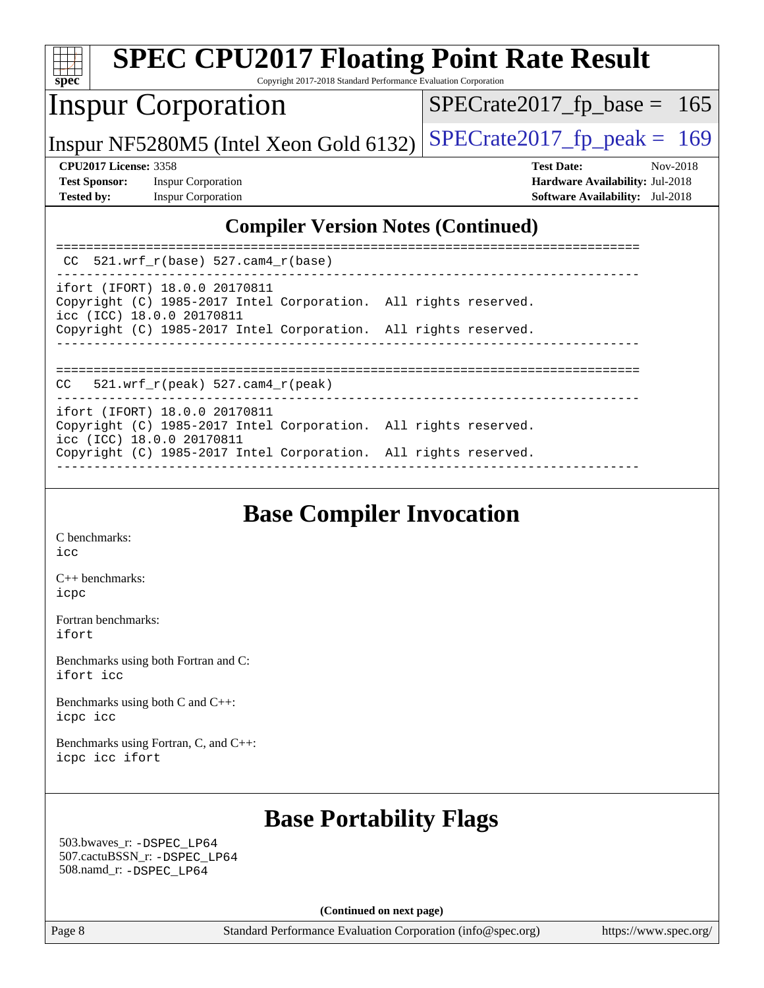| <b>SPEC CPU2017 Floating Point Rate Result</b><br>spec<br>Copyright 2017-2018 Standard Performance Evaluation Corporation           |                                                                                                            |
|-------------------------------------------------------------------------------------------------------------------------------------|------------------------------------------------------------------------------------------------------------|
| <b>Inspur Corporation</b>                                                                                                           | $SPECrate2017_fp\_base = 165$                                                                              |
| Inspur NF5280M5 (Intel Xeon Gold 6132)                                                                                              | $SPECrate2017_fp\_peak = 169$                                                                              |
| <b>CPU2017 License: 3358</b><br><b>Test Sponsor:</b><br><b>Inspur Corporation</b><br><b>Tested by:</b><br><b>Inspur Corporation</b> | <b>Test Date:</b><br>Nov-2018<br>Hardware Availability: Jul-2018<br><b>Software Availability:</b> Jul-2018 |
| <b>Compiler Version Notes (Continued)</b>                                                                                           |                                                                                                            |
| $CC$ 521.wrf_r(base) 527.cam4_r(base)                                                                                               |                                                                                                            |
| ifort (IFORT) 18.0.0 20170811<br>Copyright (C) 1985-2017 Intel Corporation. All rights reserved.<br>icc (ICC) 18.0.0 20170811       |                                                                                                            |
| Copyright (C) 1985-2017 Intel Corporation. All rights reserved.                                                                     |                                                                                                            |
| $521.wrf_r(peak) 527.cam4_r(peak)$<br>CC.                                                                                           |                                                                                                            |
| ifort (IFORT) 18.0.0 20170811<br>Copyright (C) 1985-2017 Intel Corporation. All rights reserved.<br>icc (ICC) 18.0.0 20170811       |                                                                                                            |
| Copyright (C) 1985-2017 Intel Corporation. All rights reserved.                                                                     |                                                                                                            |

# **[Base Compiler Invocation](http://www.spec.org/auto/cpu2017/Docs/result-fields.html#BaseCompilerInvocation)**

------------------------------------------------------------------------------

[C benchmarks](http://www.spec.org/auto/cpu2017/Docs/result-fields.html#Cbenchmarks): [icc](http://www.spec.org/cpu2017/results/res2018q4/cpu2017-20181112-09588.flags.html#user_CCbase_intel_icc_18.0_66fc1ee009f7361af1fbd72ca7dcefbb700085f36577c54f309893dd4ec40d12360134090235512931783d35fd58c0460139e722d5067c5574d8eaf2b3e37e92)

[C++ benchmarks:](http://www.spec.org/auto/cpu2017/Docs/result-fields.html#CXXbenchmarks) [icpc](http://www.spec.org/cpu2017/results/res2018q4/cpu2017-20181112-09588.flags.html#user_CXXbase_intel_icpc_18.0_c510b6838c7f56d33e37e94d029a35b4a7bccf4766a728ee175e80a419847e808290a9b78be685c44ab727ea267ec2f070ec5dc83b407c0218cded6866a35d07)

[Fortran benchmarks](http://www.spec.org/auto/cpu2017/Docs/result-fields.html#Fortranbenchmarks): [ifort](http://www.spec.org/cpu2017/results/res2018q4/cpu2017-20181112-09588.flags.html#user_FCbase_intel_ifort_18.0_8111460550e3ca792625aed983ce982f94888b8b503583aa7ba2b8303487b4d8a21a13e7191a45c5fd58ff318f48f9492884d4413fa793fd88dd292cad7027ca)

[Benchmarks using both Fortran and C](http://www.spec.org/auto/cpu2017/Docs/result-fields.html#BenchmarksusingbothFortranandC): [ifort](http://www.spec.org/cpu2017/results/res2018q4/cpu2017-20181112-09588.flags.html#user_CC_FCbase_intel_ifort_18.0_8111460550e3ca792625aed983ce982f94888b8b503583aa7ba2b8303487b4d8a21a13e7191a45c5fd58ff318f48f9492884d4413fa793fd88dd292cad7027ca) [icc](http://www.spec.org/cpu2017/results/res2018q4/cpu2017-20181112-09588.flags.html#user_CC_FCbase_intel_icc_18.0_66fc1ee009f7361af1fbd72ca7dcefbb700085f36577c54f309893dd4ec40d12360134090235512931783d35fd58c0460139e722d5067c5574d8eaf2b3e37e92)

[Benchmarks using both C and C++](http://www.spec.org/auto/cpu2017/Docs/result-fields.html#BenchmarksusingbothCandCXX): [icpc](http://www.spec.org/cpu2017/results/res2018q4/cpu2017-20181112-09588.flags.html#user_CC_CXXbase_intel_icpc_18.0_c510b6838c7f56d33e37e94d029a35b4a7bccf4766a728ee175e80a419847e808290a9b78be685c44ab727ea267ec2f070ec5dc83b407c0218cded6866a35d07) [icc](http://www.spec.org/cpu2017/results/res2018q4/cpu2017-20181112-09588.flags.html#user_CC_CXXbase_intel_icc_18.0_66fc1ee009f7361af1fbd72ca7dcefbb700085f36577c54f309893dd4ec40d12360134090235512931783d35fd58c0460139e722d5067c5574d8eaf2b3e37e92)

[Benchmarks using Fortran, C, and C++:](http://www.spec.org/auto/cpu2017/Docs/result-fields.html#BenchmarksusingFortranCandCXX) [icpc](http://www.spec.org/cpu2017/results/res2018q4/cpu2017-20181112-09588.flags.html#user_CC_CXX_FCbase_intel_icpc_18.0_c510b6838c7f56d33e37e94d029a35b4a7bccf4766a728ee175e80a419847e808290a9b78be685c44ab727ea267ec2f070ec5dc83b407c0218cded6866a35d07) [icc](http://www.spec.org/cpu2017/results/res2018q4/cpu2017-20181112-09588.flags.html#user_CC_CXX_FCbase_intel_icc_18.0_66fc1ee009f7361af1fbd72ca7dcefbb700085f36577c54f309893dd4ec40d12360134090235512931783d35fd58c0460139e722d5067c5574d8eaf2b3e37e92) [ifort](http://www.spec.org/cpu2017/results/res2018q4/cpu2017-20181112-09588.flags.html#user_CC_CXX_FCbase_intel_ifort_18.0_8111460550e3ca792625aed983ce982f94888b8b503583aa7ba2b8303487b4d8a21a13e7191a45c5fd58ff318f48f9492884d4413fa793fd88dd292cad7027ca)

### **[Base Portability Flags](http://www.spec.org/auto/cpu2017/Docs/result-fields.html#BasePortabilityFlags)**

 503.bwaves\_r: [-DSPEC\\_LP64](http://www.spec.org/cpu2017/results/res2018q4/cpu2017-20181112-09588.flags.html#suite_basePORTABILITY503_bwaves_r_DSPEC_LP64) 507.cactuBSSN\_r: [-DSPEC\\_LP64](http://www.spec.org/cpu2017/results/res2018q4/cpu2017-20181112-09588.flags.html#suite_basePORTABILITY507_cactuBSSN_r_DSPEC_LP64) 508.namd\_r: [-DSPEC\\_LP64](http://www.spec.org/cpu2017/results/res2018q4/cpu2017-20181112-09588.flags.html#suite_basePORTABILITY508_namd_r_DSPEC_LP64)

**(Continued on next page)**

Page 8 Standard Performance Evaluation Corporation [\(info@spec.org\)](mailto:info@spec.org) <https://www.spec.org/>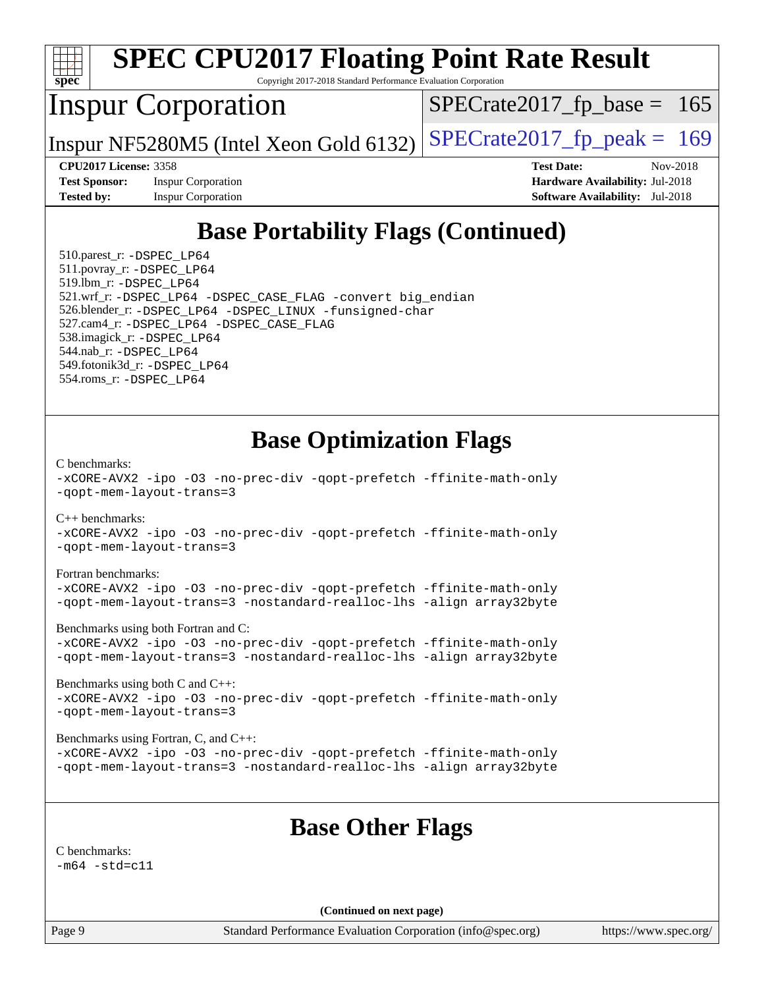

Page 9 Standard Performance Evaluation Corporation [\(info@spec.org\)](mailto:info@spec.org) <https://www.spec.org/>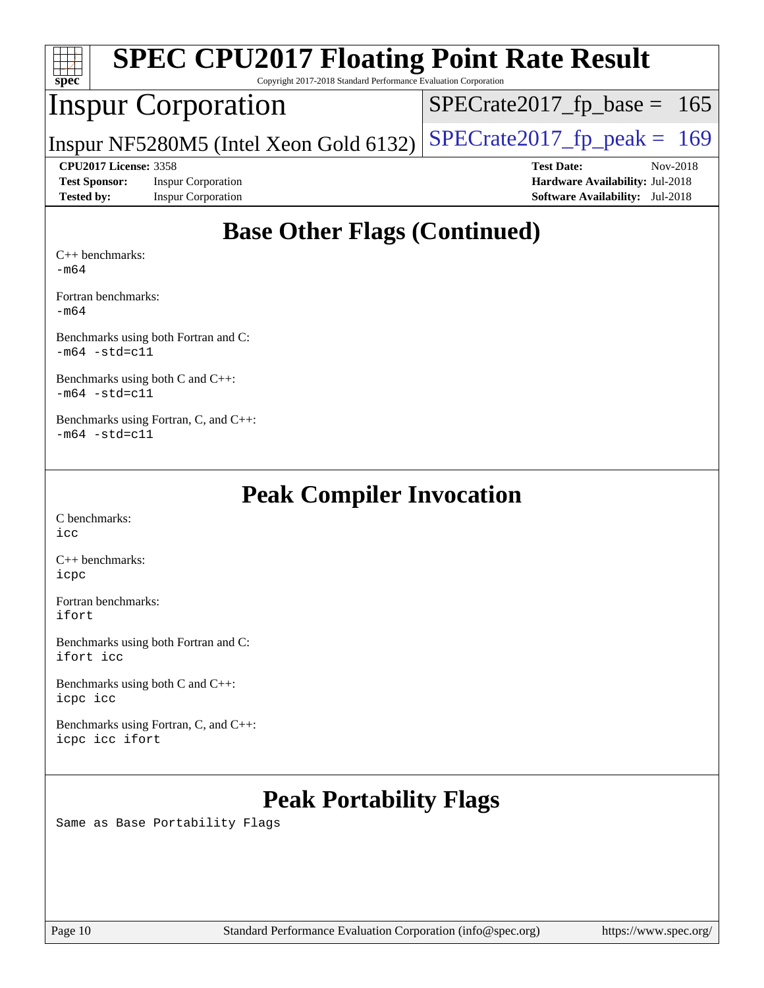| <b>SPEC CPU2017 Floating Point Rate Result</b><br>Spec<br>Copyright 2017-2018 Standard Performance Evaluation Corporation |                                        |                                        |          |  |  |
|---------------------------------------------------------------------------------------------------------------------------|----------------------------------------|----------------------------------------|----------|--|--|
|                                                                                                                           | <b>Inspur Corporation</b>              | $SPECTate2017_fp\_base = 165$          |          |  |  |
|                                                                                                                           | Inspur NF5280M5 (Intel Xeon Gold 6132) | $SPECrate2017_fp\_peak = 169$          |          |  |  |
| <b>CPU2017 License: 3358</b>                                                                                              |                                        | <b>Test Date:</b>                      | Nov-2018 |  |  |
|                                                                                                                           |                                        |                                        |          |  |  |
| <b>Test Sponsor:</b>                                                                                                      | <b>Inspur Corporation</b>              | <b>Hardware Availability: Jul-2018</b> |          |  |  |
| <b>Tested by:</b>                                                                                                         | <b>Inspur Corporation</b>              | <b>Software Availability:</b> Jul-2018 |          |  |  |

[Fortran benchmarks](http://www.spec.org/auto/cpu2017/Docs/result-fields.html#Fortranbenchmarks):

[-m64](http://www.spec.org/cpu2017/results/res2018q4/cpu2017-20181112-09588.flags.html#user_FCbase_intel_intel64_18.0_af43caccfc8ded86e7699f2159af6efc7655f51387b94da716254467f3c01020a5059329e2569e4053f409e7c9202a7efc638f7a6d1ffb3f52dea4a3e31d82ab)

[Benchmarks using both Fortran and C](http://www.spec.org/auto/cpu2017/Docs/result-fields.html#BenchmarksusingbothFortranandC): [-m64](http://www.spec.org/cpu2017/results/res2018q4/cpu2017-20181112-09588.flags.html#user_CC_FCbase_intel_intel64_18.0_af43caccfc8ded86e7699f2159af6efc7655f51387b94da716254467f3c01020a5059329e2569e4053f409e7c9202a7efc638f7a6d1ffb3f52dea4a3e31d82ab) [-std=c11](http://www.spec.org/cpu2017/results/res2018q4/cpu2017-20181112-09588.flags.html#user_CC_FCbase_intel_compiler_c11_mode_0e1c27790398a4642dfca32ffe6c27b5796f9c2d2676156f2e42c9c44eaad0c049b1cdb667a270c34d979996257aeb8fc440bfb01818dbc9357bd9d174cb8524)

[Benchmarks using both C and C++](http://www.spec.org/auto/cpu2017/Docs/result-fields.html#BenchmarksusingbothCandCXX): [-m64](http://www.spec.org/cpu2017/results/res2018q4/cpu2017-20181112-09588.flags.html#user_CC_CXXbase_intel_intel64_18.0_af43caccfc8ded86e7699f2159af6efc7655f51387b94da716254467f3c01020a5059329e2569e4053f409e7c9202a7efc638f7a6d1ffb3f52dea4a3e31d82ab) [-std=c11](http://www.spec.org/cpu2017/results/res2018q4/cpu2017-20181112-09588.flags.html#user_CC_CXXbase_intel_compiler_c11_mode_0e1c27790398a4642dfca32ffe6c27b5796f9c2d2676156f2e42c9c44eaad0c049b1cdb667a270c34d979996257aeb8fc440bfb01818dbc9357bd9d174cb8524)

[Benchmarks using Fortran, C, and C++:](http://www.spec.org/auto/cpu2017/Docs/result-fields.html#BenchmarksusingFortranCandCXX)  $-m64$   $-std=cl1$ 

## **[Peak Compiler Invocation](http://www.spec.org/auto/cpu2017/Docs/result-fields.html#PeakCompilerInvocation)**

[C benchmarks](http://www.spec.org/auto/cpu2017/Docs/result-fields.html#Cbenchmarks): [icc](http://www.spec.org/cpu2017/results/res2018q4/cpu2017-20181112-09588.flags.html#user_CCpeak_intel_icc_18.0_66fc1ee009f7361af1fbd72ca7dcefbb700085f36577c54f309893dd4ec40d12360134090235512931783d35fd58c0460139e722d5067c5574d8eaf2b3e37e92)

[C++ benchmarks:](http://www.spec.org/auto/cpu2017/Docs/result-fields.html#CXXbenchmarks) [icpc](http://www.spec.org/cpu2017/results/res2018q4/cpu2017-20181112-09588.flags.html#user_CXXpeak_intel_icpc_18.0_c510b6838c7f56d33e37e94d029a35b4a7bccf4766a728ee175e80a419847e808290a9b78be685c44ab727ea267ec2f070ec5dc83b407c0218cded6866a35d07)

[Fortran benchmarks](http://www.spec.org/auto/cpu2017/Docs/result-fields.html#Fortranbenchmarks): [ifort](http://www.spec.org/cpu2017/results/res2018q4/cpu2017-20181112-09588.flags.html#user_FCpeak_intel_ifort_18.0_8111460550e3ca792625aed983ce982f94888b8b503583aa7ba2b8303487b4d8a21a13e7191a45c5fd58ff318f48f9492884d4413fa793fd88dd292cad7027ca)

[Benchmarks using both Fortran and C](http://www.spec.org/auto/cpu2017/Docs/result-fields.html#BenchmarksusingbothFortranandC): [ifort](http://www.spec.org/cpu2017/results/res2018q4/cpu2017-20181112-09588.flags.html#user_CC_FCpeak_intel_ifort_18.0_8111460550e3ca792625aed983ce982f94888b8b503583aa7ba2b8303487b4d8a21a13e7191a45c5fd58ff318f48f9492884d4413fa793fd88dd292cad7027ca) [icc](http://www.spec.org/cpu2017/results/res2018q4/cpu2017-20181112-09588.flags.html#user_CC_FCpeak_intel_icc_18.0_66fc1ee009f7361af1fbd72ca7dcefbb700085f36577c54f309893dd4ec40d12360134090235512931783d35fd58c0460139e722d5067c5574d8eaf2b3e37e92)

[Benchmarks using both C and C++](http://www.spec.org/auto/cpu2017/Docs/result-fields.html#BenchmarksusingbothCandCXX): [icpc](http://www.spec.org/cpu2017/results/res2018q4/cpu2017-20181112-09588.flags.html#user_CC_CXXpeak_intel_icpc_18.0_c510b6838c7f56d33e37e94d029a35b4a7bccf4766a728ee175e80a419847e808290a9b78be685c44ab727ea267ec2f070ec5dc83b407c0218cded6866a35d07) [icc](http://www.spec.org/cpu2017/results/res2018q4/cpu2017-20181112-09588.flags.html#user_CC_CXXpeak_intel_icc_18.0_66fc1ee009f7361af1fbd72ca7dcefbb700085f36577c54f309893dd4ec40d12360134090235512931783d35fd58c0460139e722d5067c5574d8eaf2b3e37e92)

[Benchmarks using Fortran, C, and C++:](http://www.spec.org/auto/cpu2017/Docs/result-fields.html#BenchmarksusingFortranCandCXX) [icpc](http://www.spec.org/cpu2017/results/res2018q4/cpu2017-20181112-09588.flags.html#user_CC_CXX_FCpeak_intel_icpc_18.0_c510b6838c7f56d33e37e94d029a35b4a7bccf4766a728ee175e80a419847e808290a9b78be685c44ab727ea267ec2f070ec5dc83b407c0218cded6866a35d07) [icc](http://www.spec.org/cpu2017/results/res2018q4/cpu2017-20181112-09588.flags.html#user_CC_CXX_FCpeak_intel_icc_18.0_66fc1ee009f7361af1fbd72ca7dcefbb700085f36577c54f309893dd4ec40d12360134090235512931783d35fd58c0460139e722d5067c5574d8eaf2b3e37e92) [ifort](http://www.spec.org/cpu2017/results/res2018q4/cpu2017-20181112-09588.flags.html#user_CC_CXX_FCpeak_intel_ifort_18.0_8111460550e3ca792625aed983ce982f94888b8b503583aa7ba2b8303487b4d8a21a13e7191a45c5fd58ff318f48f9492884d4413fa793fd88dd292cad7027ca)

# **[Peak Portability Flags](http://www.spec.org/auto/cpu2017/Docs/result-fields.html#PeakPortabilityFlags)**

Same as Base Portability Flags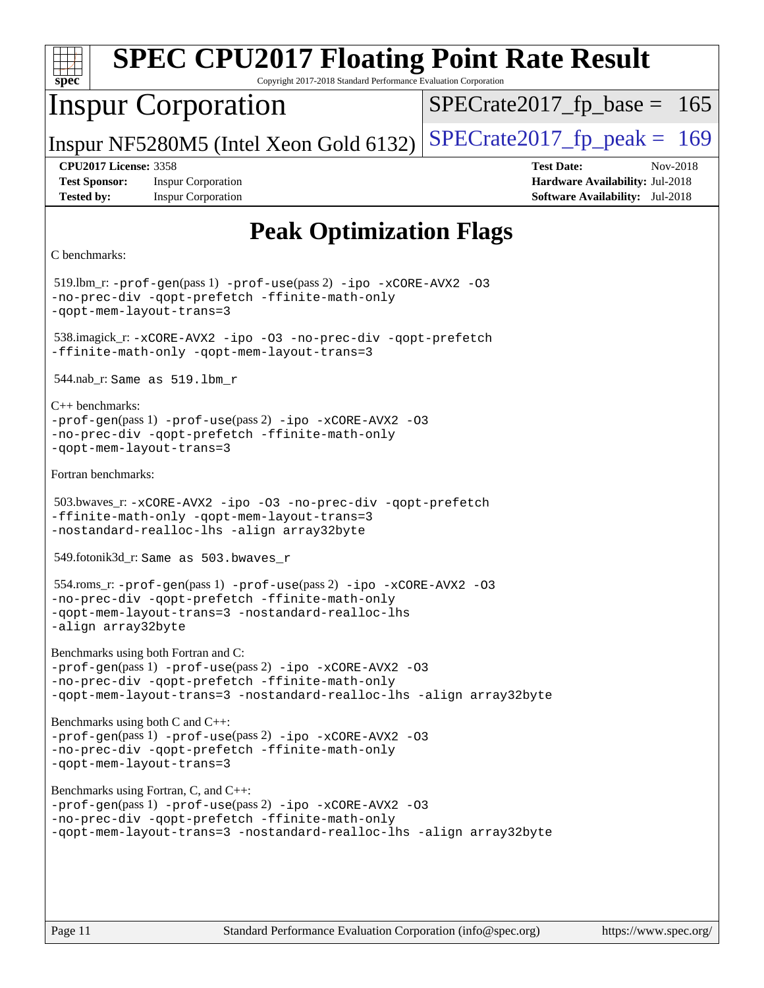| <b>SPEC CPU2017 Floating Point Rate Result</b><br>Copyright 2017-2018 Standard Performance Evaluation Corporation<br>$spec^*$                                                                                              |                                                                                                            |
|----------------------------------------------------------------------------------------------------------------------------------------------------------------------------------------------------------------------------|------------------------------------------------------------------------------------------------------------|
| <b>Inspur Corporation</b>                                                                                                                                                                                                  | $SPECrate2017_fp\_base = 165$                                                                              |
| Inspur NF5280M5 (Intel Xeon Gold 6132)                                                                                                                                                                                     | $SPECrate2017_fp\_peak = 169$                                                                              |
| <b>CPU2017 License: 3358</b><br><b>Test Sponsor:</b><br><b>Inspur Corporation</b><br><b>Tested by:</b><br><b>Inspur Corporation</b>                                                                                        | <b>Test Date:</b><br>Nov-2018<br>Hardware Availability: Jul-2018<br><b>Software Availability:</b> Jul-2018 |
| <b>Peak Optimization Flags</b><br>C benchmarks:                                                                                                                                                                            |                                                                                                            |
| 519.lbm_r: -prof-gen(pass 1) -prof-use(pass 2) -ipo -xCORE-AVX2 -03<br>-no-prec-div -qopt-prefetch -ffinite-math-only<br>-qopt-mem-layout-trans=3                                                                          |                                                                                                            |
| 538.imagick_r: -xCORE-AVX2 -ipo -03 -no-prec-div -qopt-prefetch<br>-ffinite-math-only -qopt-mem-layout-trans=3                                                                                                             |                                                                                                            |
| 544.nab_r: Same as 519.1bm r                                                                                                                                                                                               |                                                                                                            |
| $C_{++}$ benchmarks:<br>$-prof-gen(pass 1) -prof-use(pass 2) -ipo -xCORE-AVX2 -O3$<br>-no-prec-div -qopt-prefetch -ffinite-math-only<br>-qopt-mem-layout-trans=3                                                           |                                                                                                            |
| Fortran benchmarks:                                                                                                                                                                                                        |                                                                                                            |
| 503.bwaves_r:-xCORE-AVX2 -ipo -03 -no-prec-div -qopt-prefetch<br>-ffinite-math-only -qopt-mem-layout-trans=3<br>-nostandard-realloc-lhs -align array32byte                                                                 |                                                                                                            |
| 549.fotonik3d_r: Same as 503.bwaves_r                                                                                                                                                                                      |                                                                                                            |
| 554.roms_r: -prof-gen(pass 1) -prof-use(pass 2) -ipo -xCORE-AVX2 -03<br>-no-prec-div -qopt-prefetch -ffinite-math-only<br>-qopt-mem-layout-trans=3 -nostandard-realloc-lhs<br>-align array32byte                           |                                                                                                            |
| Benchmarks using both Fortran and C:<br>-prof-gen(pass 1) -prof-use(pass 2) -ipo -xCORE-AVX2 -03<br>-no-prec-div -qopt-prefetch -ffinite-math-only<br>-qopt-mem-layout-trans=3 -nostandard-realloc-lhs -align array32byte  |                                                                                                            |
| Benchmarks using both C and C++:<br>$-prof-gen(pass 1) -prof-use(pass 2) -ipo -xCORE-AVX2 -O3$<br>-no-prec-div -qopt-prefetch -ffinite-math-only<br>-qopt-mem-layout-trans=3                                               |                                                                                                            |
| Benchmarks using Fortran, C, and C++:<br>-prof-gen(pass 1) -prof-use(pass 2) -ipo -xCORE-AVX2 -03<br>-no-prec-div -qopt-prefetch -ffinite-math-only<br>-qopt-mem-layout-trans=3 -nostandard-realloc-lhs -align array32byte |                                                                                                            |
| Page 11<br>Standard Performance Evaluation Corporation (info@spec.org)                                                                                                                                                     | https://www.spec.org/                                                                                      |